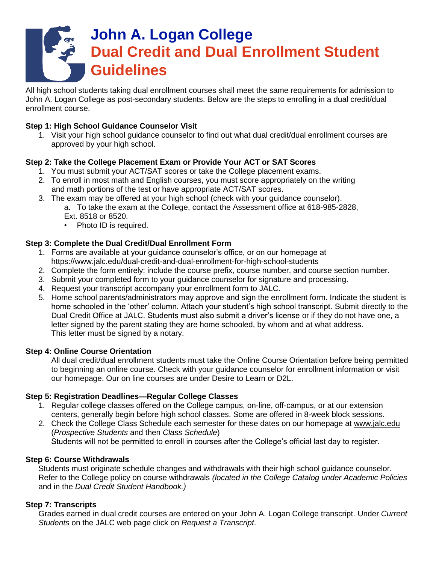# **John A. Logan College Dual Credit and Dual Enrollment Student Guidelines**

All high school students taking dual enrollment courses shall meet the same requirements for admission to John A. Logan College as post-secondary students. Below are the steps to enrolling in a dual credit/dual enrollment course.

### **Step 1: High School Guidance Counselor Visit**

1. Visit your high school guidance counselor to find out what dual credit/dual enrollment courses are approved by your high school.

## **Step 2: Take the College Placement Exam or Provide Your ACT or SAT Scores**

- 1. You must submit your ACT/SAT scores or take the College placement exams.
- 2. To enroll in most math and English courses, you must score appropriately on the writing and math portions of the test or have appropriate ACT/SAT scores.
- 3. The exam may be offered at your high school (check with your guidance counselor). a. To take the exam at the College, contact the Assessment office at 618-985-2828, Ext. 8518 or 8520.
	- Photo ID is required.

## **Step 3: Complete the Dual Credit/Dual Enrollment Form**

- 1. Forms are available at your guidance counselor's office, or on our homepage at https://www.jalc.edu/dual-credit-and-dual-enrollment-for-high-school-students
- 2. Complete the form entirely; include the course prefix, course number, and course section number.
- 3. Submit your completed form to your guidance counselor for signature and processing.
- 4. Request your transcript accompany your enrollment form to JALC.
- 5. Home school parents/administrators may approve and sign the enrollment form. Indicate the student is home schooled in the 'other' column. Attach your student's high school transcript. Submit directly to the Dual Credit Office at JALC. Students must also submit a driver's license or if they do not have one, a letter signed by the parent stating they are home schooled, by whom and at what address. This letter must be signed by a notary.

#### **Step 4: Online Course Orientation**

All dual credit/dual enrollment students must take the Online Course Orientation before being permitted to beginning an online course. Check with your guidance counselor for enrollment information or visit our homepage. Our on line courses are under Desire to Learn or D2L.

#### **Step 5: Registration Deadlines—Regular College Classes**

- 1. Regular college classes offered on the College campus, on-line, off-campus, or at our extension centers, generally begin before high school classes. Some are offered in 8-week block sessions.
- 2. Check the College Class Schedule each semester for these dates on our homepage at [www.jalc.edu](http://www.jalc.edu/) (*Prospective Students* and then *Class Schedule*)

Students will not be permitted to enroll in courses after the College's official last day to register.

#### **Step 6: Course Withdrawals**

Students must originate schedule changes and withdrawals with their high school guidance counselor. Refer to the College policy on course withdrawals *(located in the College Catalog under Academic Policies*  and in the *Dual Credit Student Handbook.)*

#### **Step 7: Transcripts**

Grades earned in dual credit courses are entered on your John A. Logan College transcript. Under *Current Students* on the JALC web page click on *Request a Transcript*.